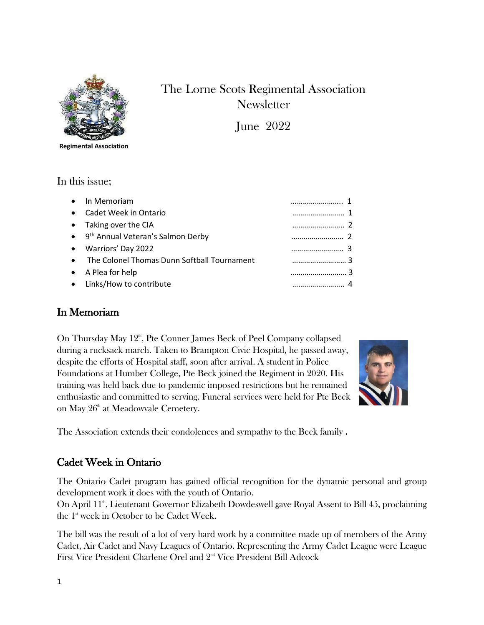

# The Lorne Scots Regimental Association **Newsletter**

June 2022

**Regimental Association**

#### In this issue;

| • In Memoriam                                   |  |
|-------------------------------------------------|--|
| • Cadet Week in Ontario                         |  |
| • Taking over the CIA                           |  |
| • 9 <sup>th</sup> Annual Veteran's Salmon Derby |  |
| • Warriors' Day 2022                            |  |
| • The Colonel Thomas Dunn Softball Tournament   |  |
| • A Plea for help                               |  |
| • Links/How to contribute                       |  |

## In Memoriam

On Thursday May 12<sup>th</sup>, Pte Conner James Beck of Peel Company collapsed during a rucksack march. Taken to Brampton Civic Hospital, he passed away, despite the efforts of Hospital staff, soon after arrival. A student in Police Foundations at Humber College, Pte Beck joined the Regiment in 2020. His training was held back due to pandemic imposed restrictions but he remained enthusiastic and committed to serving. Funeral services were held for Pte Beck on May 26<sup>th</sup> at Meadowvale Cemetery.



The Association extends their condolences and sympathy to the Beck family .

## Cadet Week in Ontario

The Ontario Cadet program has gained official recognition for the dynamic personal and group development work it does with the youth of Ontario.

On April 11<sup>th</sup>, Lieutenant Governor Elizabeth Dowdeswell gave Royal Assent to Bill 45, proclaiming the 1<sup>st</sup> week in October to be Cadet Week.

The bill was the result of a lot of very hard work by a committee made up of members of the Army Cadet, Air Cadet and Navy Leagues of Ontario. Representing the Army Cadet League were League First Vice President Charlene Orel and 2<sup>nd</sup> Vice President Bill Adcock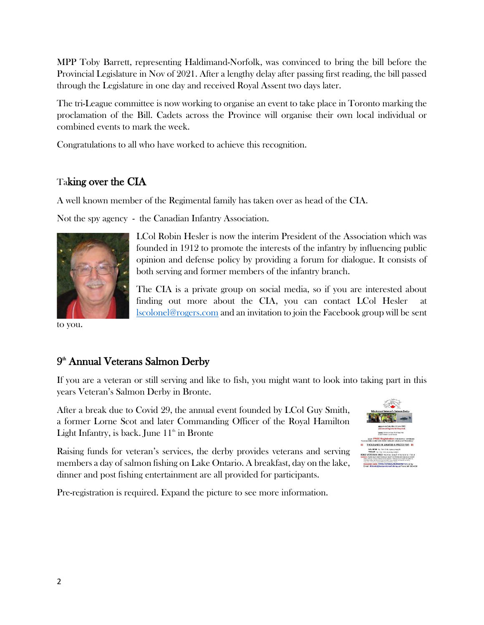MPP Toby Barrett, representing Haldimand-Norfolk, was convinced to bring the bill before the Provincial Legislature in Nov of 2021. After a lengthy delay after passing first reading, the bill passed through the Legislature in one day and received Royal Assent two days later.

The tri-League committee is now working to organise an event to take place in Toronto marking the proclamation of the Bill. Cadets across the Province will organise their own local individual or combined events to mark the week.

Congratulations to all who have worked to achieve this recognition.

## Taking over the CIA

A well known member of the Regimental family has taken over as head of the CIA.

Not the spy agency - the Canadian Infantry Association.



to you.

LCol Robin Hesler is now the interim President of the Association which was founded in 1912 to promote the interests of the infantry by influencing public opinion and defense policy by providing a forum for dialogue. It consists of both serving and former members of the infantry branch.

The CIA is a private group on social media, so if you are interested about finding out more about the CIA, you can contact LCol Hesler at [lscolonel@rogers.com](mailto:lscolonel@rogers.com) and an invitation to join the Facebook group will be sent

## 9 th Annual Veterans Salmon Derby

If you are a veteran or still serving and like to fish, you might want to look into taking part in this years Veteran's Salmon Derby in Bronte.

After a break due to Covid 29, the annual event founded by LCol Guy Smith, a former Lorne Scot and later Commanding Officer of the Royal Hamilton Light Infantry, is back. June  $11<sup>th</sup>$  in Bronte

Raising funds for veteran's services, the derby provides veterans and serving members a day of salmon fishing on Lake Ontario. A breakfast, day on the lake, dinner and post fishing entertainment are all provided for participants.



Pre-registration is required. Expand the picture to see more information.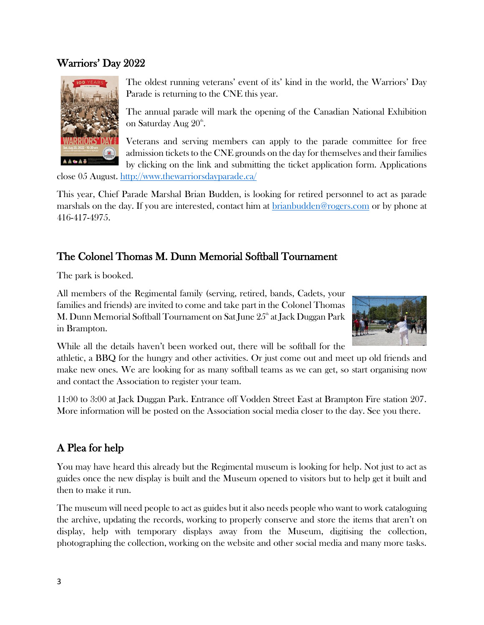#### Warriors' Day 2022



The oldest running veterans' event of its' kind in the world, the Warriors' Day Parade is returning to the CNE this year.

The annual parade will mark the opening of the Canadian National Exhibition on Saturday Aug 20<sup>th</sup>.

Veterans and serving members can apply to the parade committee for free admission tickets to the CNE grounds on the day for themselves and their families by clicking on the link and submitting the ticket application form. Applications

close 05 August. <http://www.thewarriorsdayparade.ca/>

This year, Chief Parade Marshal Brian Budden, is looking for retired personnel to act as parade marshals on the day. If you are interested, contact him at [brianbudden@rogers.com](mailto:brianbudden@rogers.com) or by phone at 416-417-4975.

## The Colonel Thomas M. Dunn Memorial Softball Tournament

The park is booked.

All members of the Regimental family (serving, retired, bands, Cadets, your families and friends) are invited to come and take part in the Colonel Thomas M. Dunn Memorial Softball Tournament on Sat June 25<sup>th</sup> at Jack Duggan Park in Brampton.



While all the details haven't been worked out, there will be softball for the

athletic, a BBQ for the hungry and other activities. Or just come out and meet up old friends and make new ones. We are looking for as many softball teams as we can get, so start organising now and contact the Association to register your team.

11:00 to 3:00 at Jack Duggan Park. Entrance off Vodden Street East at Brampton Fire station 207. More information will be posted on the Association social media closer to the day. See you there.

## A Plea for help

You may have heard this already but the Regimental museum is looking for help. Not just to act as guides once the new display is built and the Museum opened to visitors but to help get it built and then to make it run.

The museum will need people to act as guides but it also needs people who want to work cataloguing the archive, updating the records, working to properly conserve and store the items that aren't on display, help with temporary displays away from the Museum, digitising the collection, photographing the collection, working on the website and other social media and many more tasks.